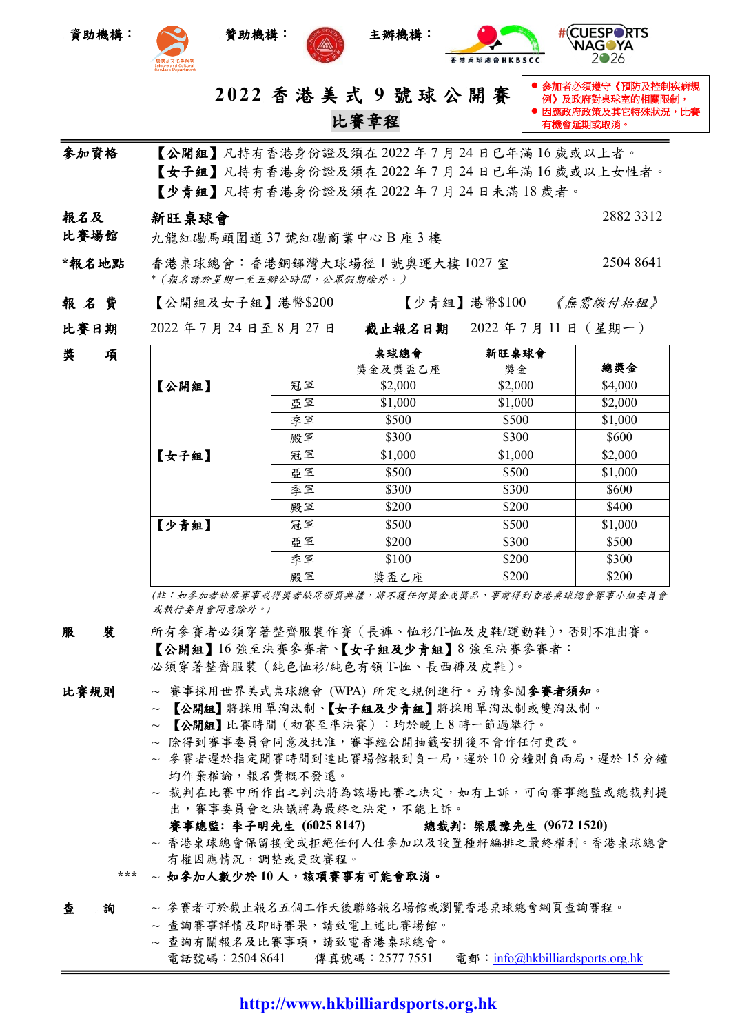







 參加者必須遵守《預防及控制疾病規 例》及政府對桌球室的相關限制,  $\bar{g}$ 政府政策及其它特殊狀況,比賽

2●26

2882 3312

有機會延期或取消。

**2 02 2** 香 港 美 式 **9** 號 球 公 開 賽 比賽章程

- 參加資格 【公開組】凡持有香港身份證及須在 2022 年 7 月 24 日已年滿 16 歲或以上者。 【女子組】凡持有香港身份證及須在 2022 年 7 月 24 日已年滿 16 歲或以上女性者。 【少青組】凡持有香港身份證及須在 2022 年 7 月 24 日未滿 18 歲者。
- 報名及 新旺桌球會
- 比賽場館 九龍紅磡馬頭圍道 37 號紅磡商業中心 B 座 3 樓
- \***報名地點** 香港桌球總會:香港銅鑼灣大球場徑1號奧運大樓 1027 室 2504 8641 *\**(報名請於星期一至五辦公時間,公眾假期除外。)
- 報 名 費 【公開組及女子組】港幣\$200 【少青組】港幣\$100 *《無需缴付枱租》*
- 比賽日期 2022 年 7 月 24 日至 8 月 27 日 截止報名日期2022 年 7 月 11 日(星期一)

| 奬 | 項 |       |    | 桌球總會    | 新旺桌球會   |         |
|---|---|-------|----|---------|---------|---------|
|   |   |       |    | 獎金及獎盃乙座 | 獎金      | 總獎金     |
|   |   | 【公開組】 | 冠軍 | \$2,000 | \$2,000 | \$4,000 |
|   |   |       | 亞軍 | \$1,000 | \$1,000 | \$2,000 |
|   |   |       | 季軍 | \$500   | \$500   | \$1,000 |
|   |   |       | 殿軍 | \$300   | \$300   | \$600   |
|   |   | 【女子組】 | 冠軍 | \$1,000 | \$1,000 | \$2,000 |
|   |   |       | 亞軍 | \$500   | \$500   | \$1,000 |
|   |   |       | 季軍 | \$300   | \$300   | \$600   |
|   |   |       | 殿軍 | \$200   | \$200   | \$400   |
|   |   | 【少青組】 | 冠軍 | \$500   | \$500   | \$1,000 |
|   |   |       | 亞軍 | \$200   | \$300   | \$500   |
|   |   |       | 季軍 | \$100   | \$200   | \$300   |
|   |   |       | 殿軍 | 獎盃乙座    | \$200   | \$200   |

*(*註:如參加者缺席賽事或得獎者缺席頒獎典禮,將不獲任何獎金或獎品,事前得到香港桌球總會賽事小組委員會 或執行委員會同意除外。*)*

- 服 裝 所有參賽者必須穿著整齊服裝作賽(長褲、恤衫/T-恤及皮鞋/運動鞋),否則不准出賽。 【公開組】16 強至決賽參賽者、【女子組及少青組】8 強至決賽參賽者: 必須穿著整齊服裝(純色恤衫/純色有領 T-恤、長西褲及皮鞋)。
- 
- 比賽規則 ~ 賽事採用世界美式桌球總會 (WPA) 所定之規例進行。另請參閱參賽者須知。
	- ~ 【公開組】將採用單淘汰制、【女子組及少青組】將採用單淘汰制或雙淘汰制。
	- ~ 【公開組】比賽時間(初賽至準決賽):均於晚上 8 時一節過舉行。
	- ~ 除得到賽事委員會同意及批准,賽事經公開抽籤安排後不會作任何更改。
	- ~ 參賽者遲於指定開賽時間到達比賽場館報到負一局,遲於 10 分鐘則負兩局,遲於 15 分鐘 均作棄權論,報名費概不發還。
	- ~ 裁判在比賽中所作出之判決將為該場比賽之決定,如有上訴,可向賽事總監或總裁判提 出,賽事委員會之決議將為最終之決定,不能上訴。
		- 賽事總監**:** 李子明先生 **(6025 8147)** 總裁判**:** 梁展豫先生 **(9672 1520)**
	- ~ 香港桌球總會保留接受或拒絕任何人仕參加以及設置種籽編排之最終權利。香港桌球總會 有權因應情況,調整或更改賽程。
	- **\*\*\*** ~ 如參加人數少於 **10** 人,該項賽事有可能會取消。
- 查詢 ~ 參賽者可於截止報名五個工作天後聯絡報名場館或瀏覽香港桌球總會網頁查詢賽程。
	- ~ 查詢賽事詳情及即時賽果,請致電上述比賽場館。
	- ~ 查詢有關報名及比賽事項,請致電香港桌球總會。
		- 電話號碼: 2504 8641 傳真號碼: 2577 7551 電郵: [info@hkbilliardsports.org.hk](mailto:info@hkbilliardsports.org.hk)

## **http://www.hkbilliardsports.org.hk**